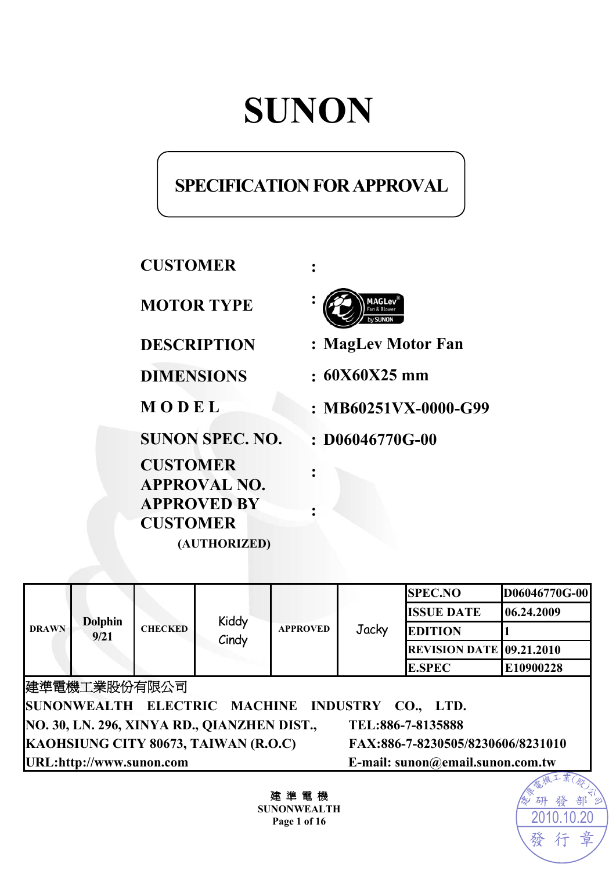# **SUNON**

# **SPECIFICATION FOR APPROVAL**

**CUSTOMER :** 

**MOTOR TYPE :**

**SUNON SPEC. NO. : D06046770G-00** 

**CUSTOMER APPROVAL NO. APPROVED BY CUSTOMER (AUTHORIZED)** 



**DESCRIPTION : MagLev Motor Fan** 

**DIMENSIONS : 60X60X25 mm** 

**M O D E L : MB60251VX-0000-G99** 

| <b>DRAWN</b>                                                     | <b>Dolphin</b><br>9/21 | <b>CHECKED</b> |                                   | <b>APPROVED</b> | Jacky<br><b>E.SPEC</b> | <b>SPEC.NO</b>                  | D06046770G-00 |
|------------------------------------------------------------------|------------------------|----------------|-----------------------------------|-----------------|------------------------|---------------------------------|---------------|
|                                                                  |                        |                | Kiddy<br>Cindy                    |                 |                        | <b>ISSUE DATE</b>               | 06.24.2009    |
|                                                                  |                        |                |                                   |                 |                        | <b>EDITION</b>                  |               |
|                                                                  |                        |                |                                   |                 |                        | <b>REVISION DATE 09.21.2010</b> |               |
|                                                                  |                        |                |                                   |                 |                        |                                 | E10900228     |
| 建準電機工業股份有限公司                                                     |                        |                |                                   |                 |                        |                                 |               |
| SUNONWEALTH ELECTRIC MACHINE INDUSTRY CO., LTD.                  |                        |                |                                   |                 |                        |                                 |               |
| NO. 30, LN. 296, XINYA RD., QIANZHEN DIST.,<br>TEL:886-7-8135888 |                        |                |                                   |                 |                        |                                 |               |
| KAOHSIUNG CITY 80673, TAIWAN (R.O.C)                             |                        |                | FAX:886-7-8230505/8230606/8231010 |                 |                        |                                 |               |
| URL:http://www.sunon.com<br>E-mail: sunon@email.sunon.com.tw     |                        |                |                                   |                 |                        |                                 |               |
|                                                                  |                        |                |                                   |                 |                        |                                 |               |

**:** 

**:** 

建 準 電 機 **SUNONWEALTH Page 1 of 16**

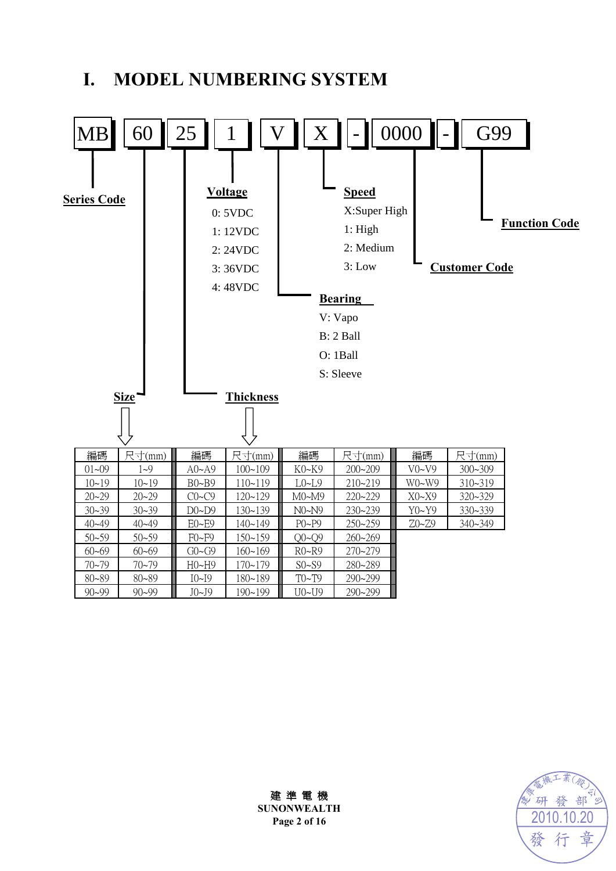# **I. MODEL NUMBERING SYSTEM**





建 準 電 機 **SUNONWEALTH Page 2 of 16**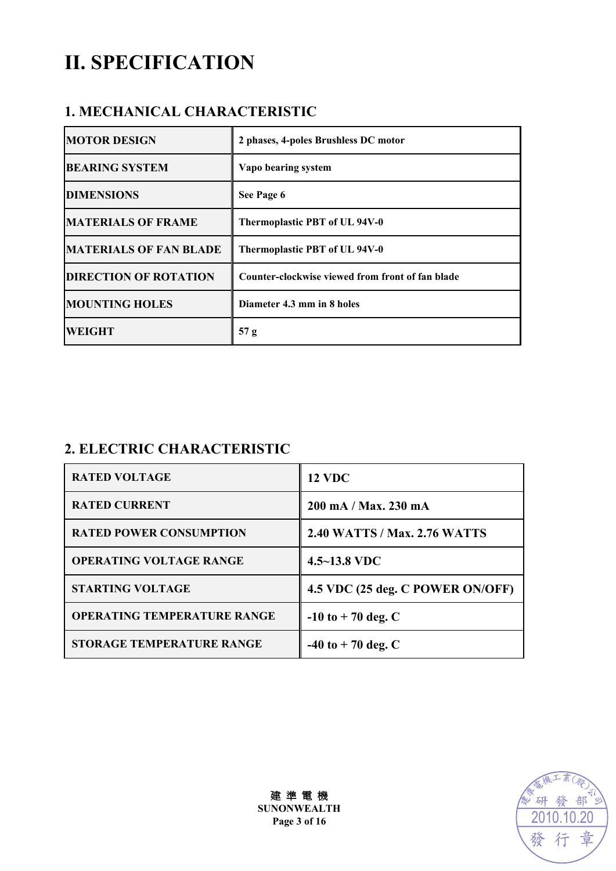# **II. SPECIFICATION**

### **1. MECHANICAL CHARACTERISTIC**

| <b>MOTOR DESIGN</b>           | 2 phases, 4-poles Brushless DC motor             |
|-------------------------------|--------------------------------------------------|
| <b>BEARING SYSTEM</b>         | Vapo bearing system                              |
| <b>DIMENSIONS</b>             | See Page 6                                       |
| <b>MATERIALS OF FRAME</b>     | Thermoplastic PBT of UL 94V-0                    |
| <b>MATERIALS OF FAN BLADE</b> | Thermoplastic PBT of UL 94V-0                    |
| <b>DIRECTION OF ROTATION</b>  | Counter-clockwise viewed from front of fan blade |
| <b>MOUNTING HOLES</b>         | Diameter 4.3 mm in 8 holes                       |
| <b>WEIGHT</b>                 | 57 g                                             |

## **2. ELECTRIC CHARACTERISTIC**

| <b>RATED VOLTAGE</b>               | <b>12 VDC</b>                    |
|------------------------------------|----------------------------------|
| <b>RATED CURRENT</b>               | 200 mA / Max. 230 mA             |
| <b>RATED POWER CONSUMPTION</b>     | 2.40 WATTS / Max. 2.76 WATTS     |
| <b>OPERATING VOLTAGE RANGE</b>     | $4.5 - 13.8$ VDC                 |
| <b>STARTING VOLTAGE</b>            | 4.5 VDC (25 deg. C POWER ON/OFF) |
| <b>OPERATING TEMPERATURE RANGE</b> | $-10$ to $+70$ deg. C            |
| <b>STORAGE TEMPERATURE RANGE</b>   | $-40$ to $+70$ deg. C            |



建 準 電 機 **SUNONWEALTH Page 3 of 16**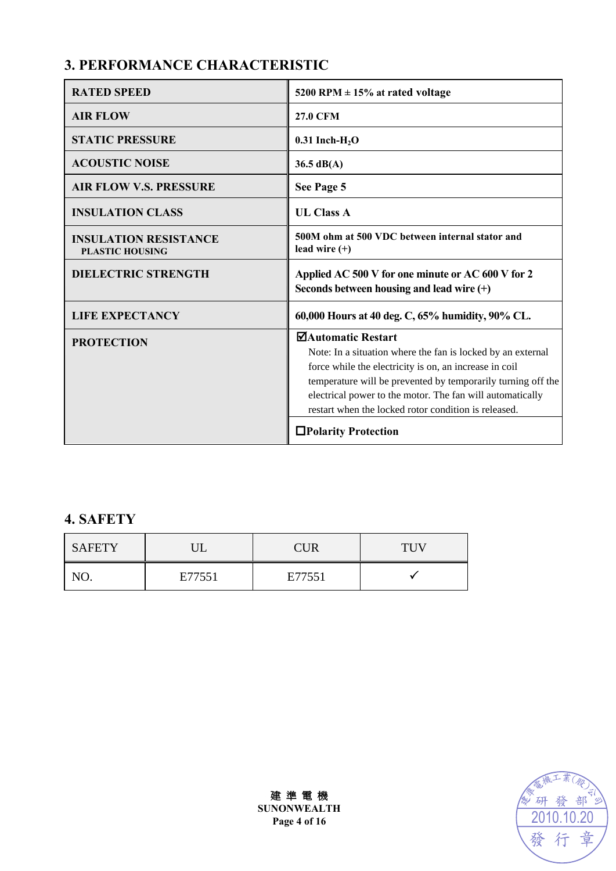# **3. PERFORMANCE CHARACTERISTIC**

| <b>RATED SPEED</b>                                     | 5200 RPM $\pm$ 15% at rated voltage                                                                                                                                                                                                                                                                                                                      |
|--------------------------------------------------------|----------------------------------------------------------------------------------------------------------------------------------------------------------------------------------------------------------------------------------------------------------------------------------------------------------------------------------------------------------|
| <b>AIR FLOW</b>                                        | <b>27.0 CFM</b>                                                                                                                                                                                                                                                                                                                                          |
| <b>STATIC PRESSURE</b>                                 | $0.31$ Inch-H <sub>2</sub> O                                                                                                                                                                                                                                                                                                                             |
| <b>ACOUSTIC NOISE</b>                                  | $36.5 \text{ dB}(A)$                                                                                                                                                                                                                                                                                                                                     |
| <b>AIR FLOW V.S. PRESSURE</b>                          | See Page 5                                                                                                                                                                                                                                                                                                                                               |
| <b>INSULATION CLASS</b>                                | <b>UL Class A</b>                                                                                                                                                                                                                                                                                                                                        |
| <b>INSULATION RESISTANCE</b><br><b>PLASTIC HOUSING</b> | 500M ohm at 500 VDC between internal stator and<br>lead wire $(+)$                                                                                                                                                                                                                                                                                       |
| <b>DIELECTRIC STRENGTH</b>                             | Applied AC 500 V for one minute or AC 600 V for 2<br>Seconds between housing and lead wire $(+)$                                                                                                                                                                                                                                                         |
|                                                        |                                                                                                                                                                                                                                                                                                                                                          |
| <b>LIFE EXPECTANCY</b>                                 | 60,000 Hours at 40 deg. C, 65% humidity, 90% CL.                                                                                                                                                                                                                                                                                                         |
| <b>PROTECTION</b>                                      | ⊠Automatic Restart<br>Note: In a situation where the fan is locked by an external<br>force while the electricity is on, an increase in coil<br>temperature will be prevented by temporarily turning off the<br>electrical power to the motor. The fan will automatically<br>restart when the locked rotor condition is released.<br>□Polarity Protection |

# **4. SAFETY**

| <b>SAFETY</b> |        | CUR    | <b>THV</b> |
|---------------|--------|--------|------------|
|               | E77551 | E77551 |            |



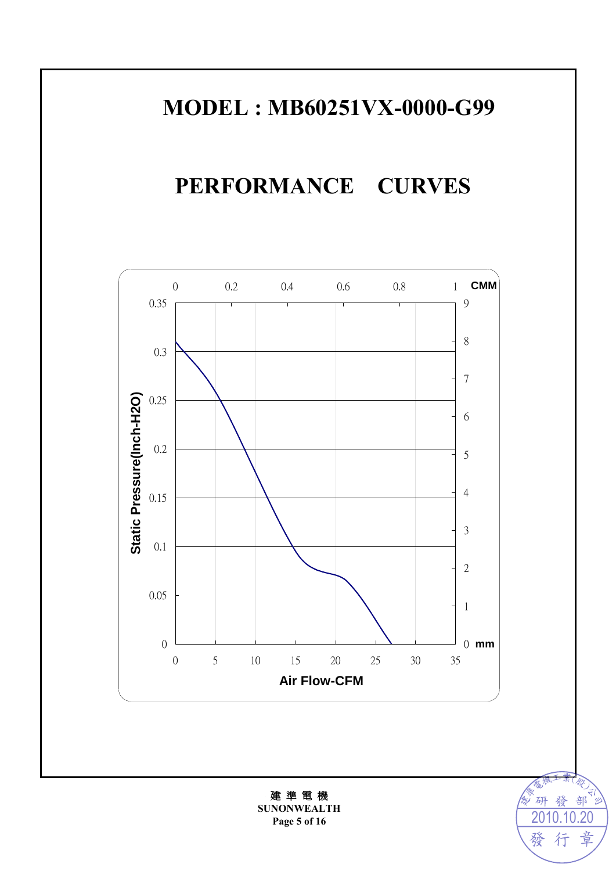# **MODEL : MB60251VX-0000-G99**

# **PERFORMANCE CURVES**



建 準 電 機 **SUNONWEALTH Page 5 of 16** 

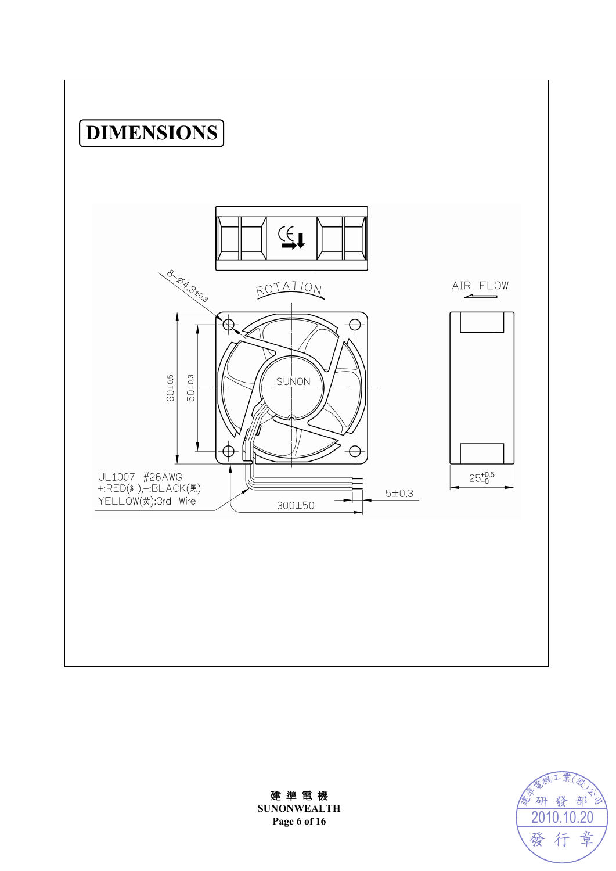



建 準 電 機 **SUNONWEALTH Page 6 of 16**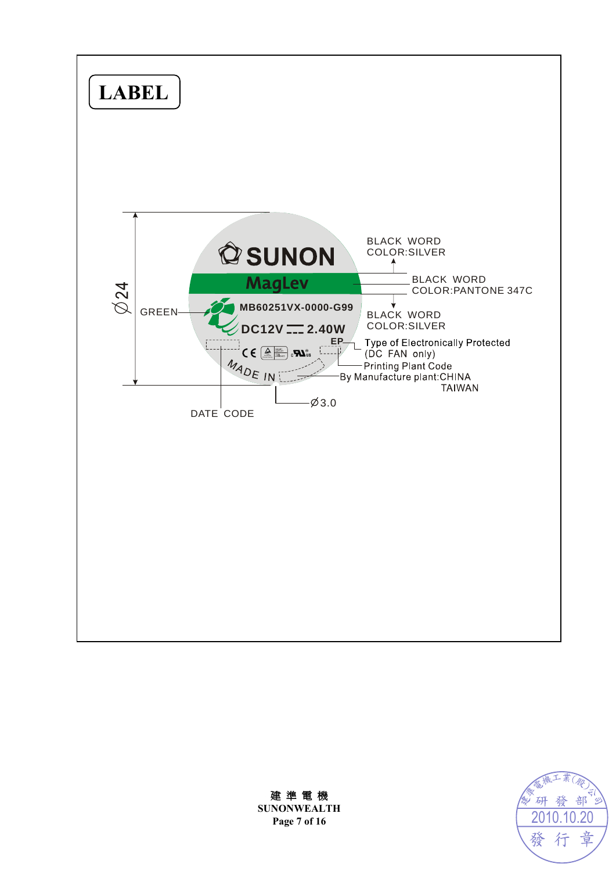

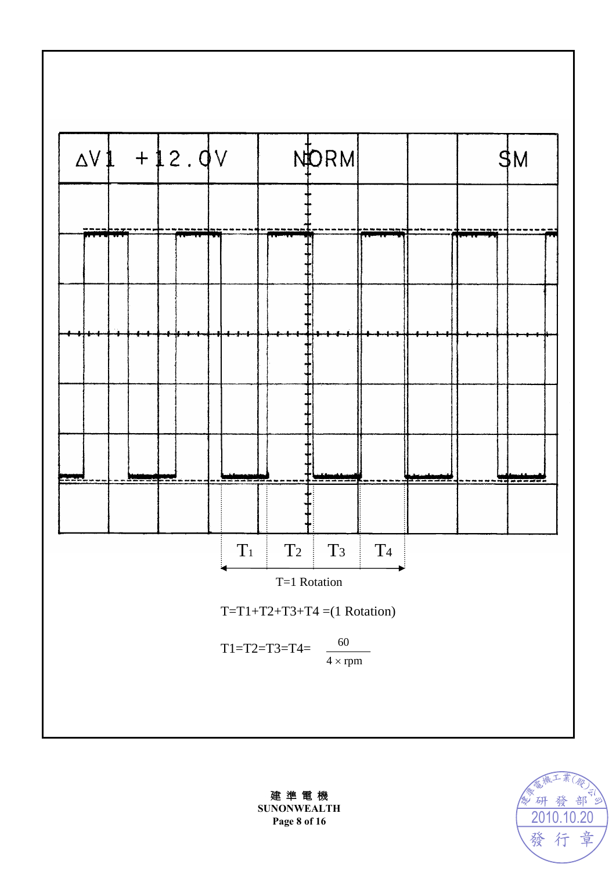



建 準 電 機 **SUNONWEALTH Page 8 of 16**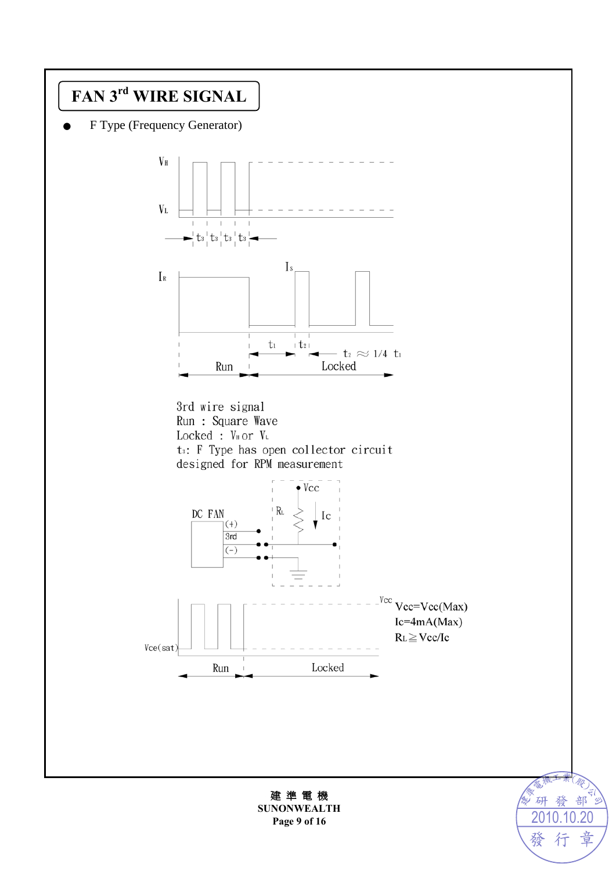

F Type (Frequency Generator)





建 準 電 機 **SUNONWEALTH Page 9 of 16**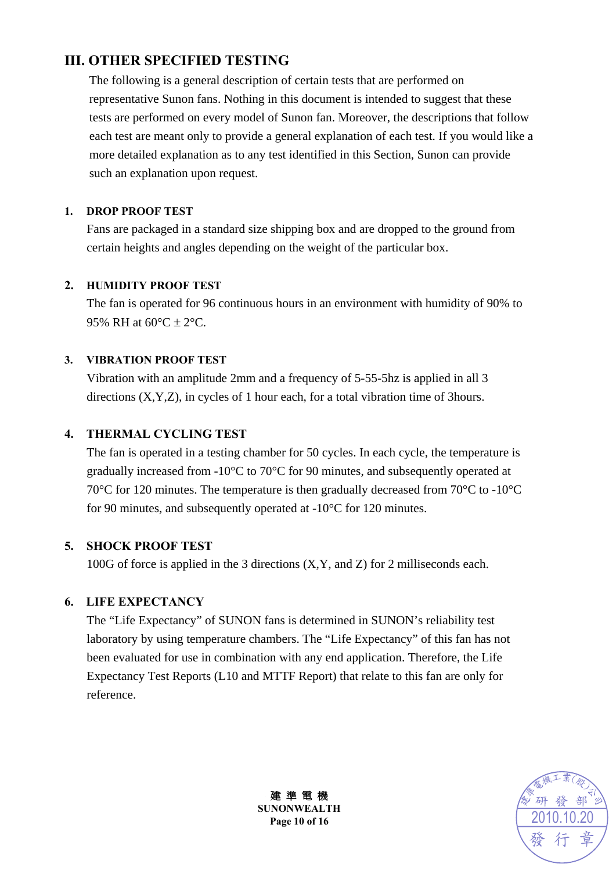### **III. OTHER SPECIFIED TESTING**

The following is a general description of certain tests that are performed on representative Sunon fans. Nothing in this document is intended to suggest that these tests are performed on every model of Sunon fan. Moreover, the descriptions that follow each test are meant only to provide a general explanation of each test. If you would like a more detailed explanation as to any test identified in this Section, Sunon can provide such an explanation upon request.

#### **1. DROP PROOF TEST**

Fans are packaged in a standard size shipping box and are dropped to the ground from certain heights and angles depending on the weight of the particular box.

#### **2. HUMIDITY PROOF TEST**

The fan is operated for 96 continuous hours in an environment with humidity of 90% to 95% RH at  $60^{\circ}$ C  $\pm$  2°C.

#### **3. VIBRATION PROOF TEST**

Vibration with an amplitude 2mm and a frequency of 5-55-5hz is applied in all 3 directions (X,Y,Z), in cycles of 1 hour each, for a total vibration time of 3hours.

#### **4. THERMAL CYCLING TEST**

The fan is operated in a testing chamber for 50 cycles. In each cycle, the temperature is gradually increased from -10°C to 70°C for 90 minutes, and subsequently operated at 70°C for 120 minutes. The temperature is then gradually decreased from 70°C to -10°C for 90 minutes, and subsequently operated at -10°C for 120 minutes.

#### **5. SHOCK PROOF TEST**

100G of force is applied in the 3 directions (X,Y, and Z) for 2 milliseconds each.

#### **6. LIFE EXPECTANCY**

The "Life Expectancy" of SUNON fans is determined in SUNON's reliability test laboratory by using temperature chambers. The "Life Expectancy" of this fan has not been evaluated for use in combination with any end application. Therefore, the Life Expectancy Test Reports (L10 and MTTF Report) that relate to this fan are only for reference.



建 準 電 機 **SUNONWEALTH Page 10 of 16**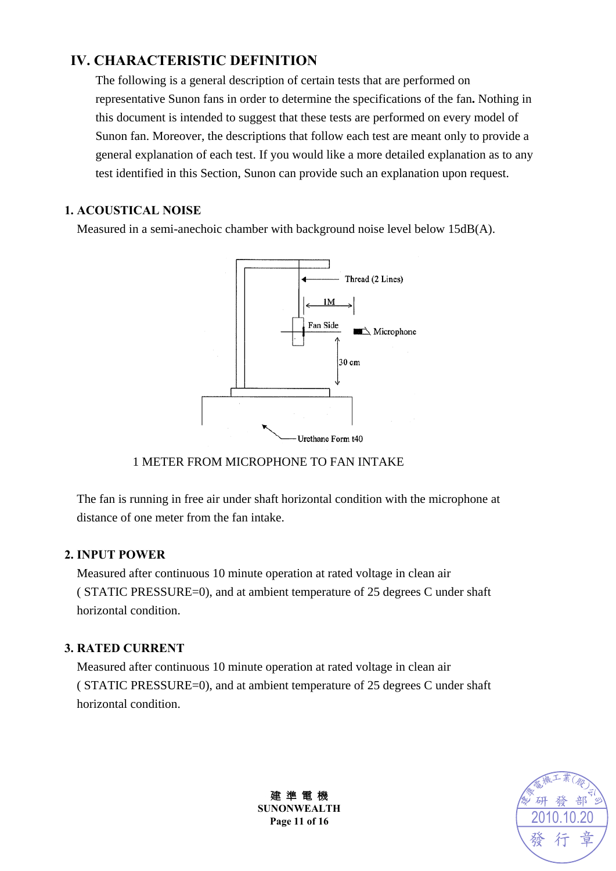### **IV. CHARACTERISTIC DEFINITION**

The following is a general description of certain tests that are performed on representative Sunon fans in order to determine the specifications of the fan**.** Nothing in this document is intended to suggest that these tests are performed on every model of Sunon fan. Moreover, the descriptions that follow each test are meant only to provide a general explanation of each test. If you would like a more detailed explanation as to any test identified in this Section, Sunon can provide such an explanation upon request.

#### **1. ACOUSTICAL NOISE**

Measured in a semi-anechoic chamber with background noise level below 15dB(A).



#### 1 METER FROM MICROPHONE TO FAN INTAKE

The fan is running in free air under shaft horizontal condition with the microphone at distance of one meter from the fan intake.

#### **2. INPUT POWER**

Measured after continuous 10 minute operation at rated voltage in clean air ( STATIC PRESSURE=0), and at ambient temperature of 25 degrees C under shaft horizontal condition.

#### **3. RATED CURRENT**

Measured after continuous 10 minute operation at rated voltage in clean air ( STATIC PRESSURE=0), and at ambient temperature of 25 degrees C under shaft horizontal condition.



建 準 電 機 **SUNONWEALTH Page 11 of 16**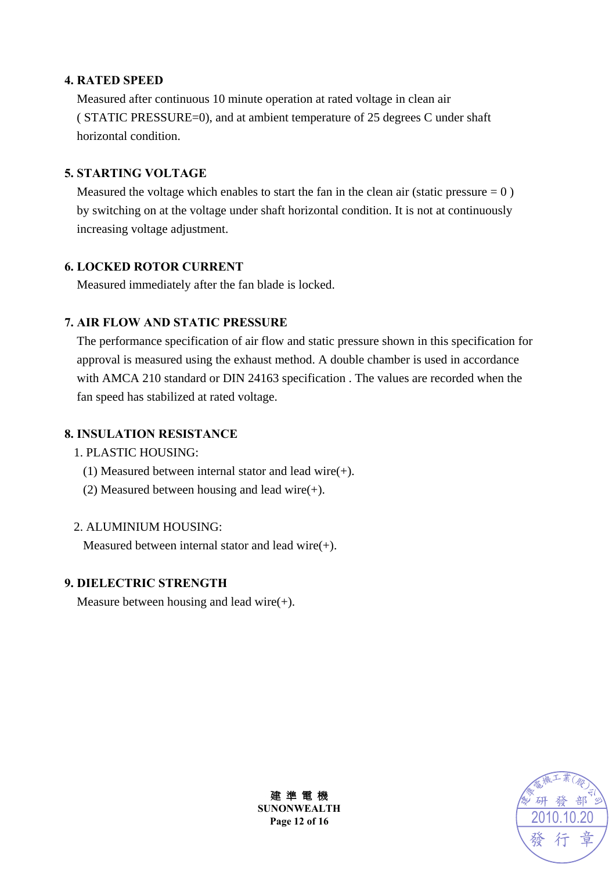#### **4. RATED SPEED**

Measured after continuous 10 minute operation at rated voltage in clean air ( STATIC PRESSURE=0), and at ambient temperature of 25 degrees C under shaft horizontal condition.

#### **5. STARTING VOLTAGE**

Measured the voltage which enables to start the fan in the clean air (static pressure  $= 0$ ) by switching on at the voltage under shaft horizontal condition. It is not at continuously increasing voltage adjustment.

#### **6. LOCKED ROTOR CURRENT**

Measured immediately after the fan blade is locked.

#### **7. AIR FLOW AND STATIC PRESSURE**

The performance specification of air flow and static pressure shown in this specification for approval is measured using the exhaust method. A double chamber is used in accordance with AMCA 210 standard or DIN 24163 specification . The values are recorded when the fan speed has stabilized at rated voltage.

#### **8. INSULATION RESISTANCE**

#### 1. PLASTIC HOUSING:

- (1) Measured between internal stator and lead wire(+).
- (2) Measured between housing and lead wire $(+)$ .

#### 2. ALUMINIUM HOUSING:

Measured between internal stator and lead wire(+).

#### **9. DIELECTRIC STRENGTH**

Measure between housing and lead wire $(+)$ .



建 準 電 機 **SUNONWEALTH Page 12 of 16**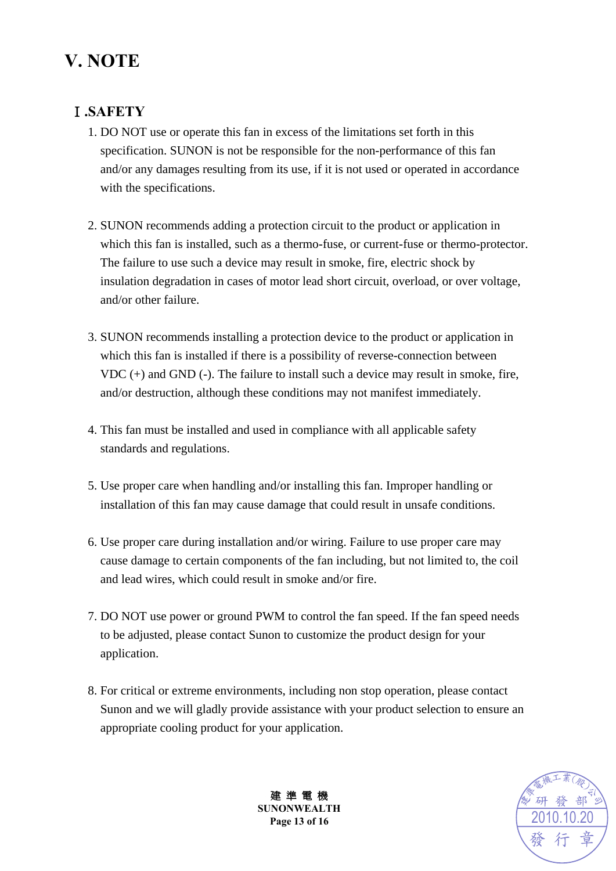# **V. NOTE**

### Ⅰ**.SAFETY**

- 1. DO NOT use or operate this fan in excess of the limitations set forth in this specification. SUNON is not be responsible for the non-performance of this fan and/or any damages resulting from its use, if it is not used or operated in accordance with the specifications.
- 2. SUNON recommends adding a protection circuit to the product or application in which this fan is installed, such as a thermo-fuse, or current-fuse or thermo-protector. The failure to use such a device may result in smoke, fire, electric shock by insulation degradation in cases of motor lead short circuit, overload, or over voltage, and/or other failure.
- 3. SUNON recommends installing a protection device to the product or application in which this fan is installed if there is a possibility of reverse-connection between VDC (+) and GND (-). The failure to install such a device may result in smoke, fire, and/or destruction, although these conditions may not manifest immediately.
- 4. This fan must be installed and used in compliance with all applicable safety standards and regulations.
- 5. Use proper care when handling and/or installing this fan. Improper handling or installation of this fan may cause damage that could result in unsafe conditions.
- 6. Use proper care during installation and/or wiring. Failure to use proper care may cause damage to certain components of the fan including, but not limited to, the coil and lead wires, which could result in smoke and/or fire.
- 7. DO NOT use power or ground PWM to control the fan speed. If the fan speed needs to be adjusted, please contact Sunon to customize the product design for your application.
- 8. For critical or extreme environments, including non stop operation, please contact Sunon and we will gladly provide assistance with your product selection to ensure an appropriate cooling product for your application.



建 準 電 機 **SUNONWEALTH Page 13 of 16**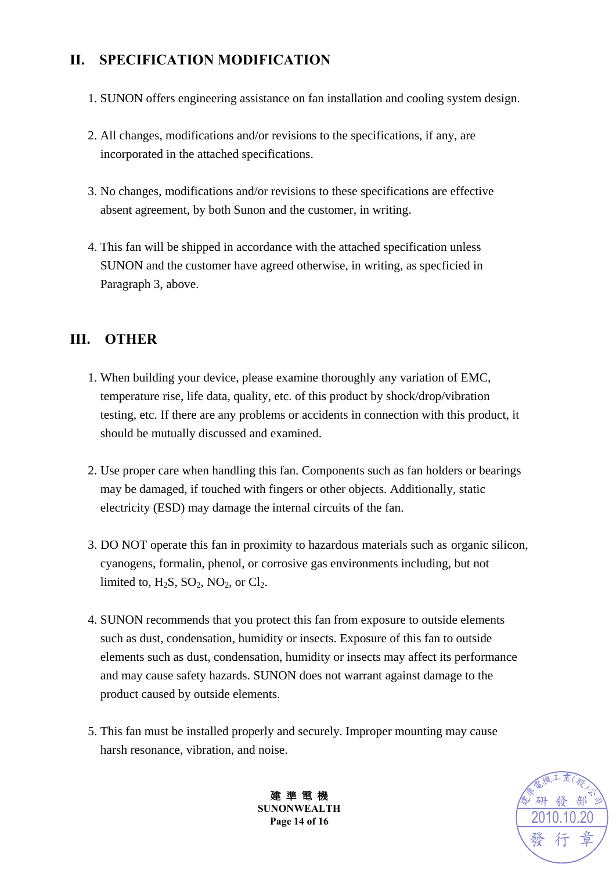### **II. SPECIFICATION MODIFICATION**

- 1. SUNON offers engineering assistance on fan installation and cooling system design.
- 2. All changes, modifications and/or revisions to the specifications, if any, are incorporated in the attached specifications.
- 3. No changes, modifications and/or revisions to these specifications are effective absent agreement, by both Sunon and the customer, in writing.
- 4. This fan will be shipped in accordance with the attached specification unless SUNON and the customer have agreed otherwise, in writing, as specficied in Paragraph 3, above.

### **III. OTHER**

- 1. When building your device, please examine thoroughly any variation of EMC, temperature rise, life data, quality, etc. of this product by shock/drop/vibration testing, etc. If there are any problems or accidents in connection with this product, it should be mutually discussed and examined.
- 2. Use proper care when handling this fan. Components such as fan holders or bearings may be damaged, if touched with fingers or other objects. Additionally, static electricity (ESD) may damage the internal circuits of the fan.
- 3. DO NOT operate this fan in proximity to hazardous materials such as organic silicon, cyanogens, formalin, phenol, or corrosive gas environments including, but not limited to,  $H_2S$ ,  $SO_2$ ,  $NO_2$ , or  $Cl_2$ .
- 4. SUNON recommends that you protect this fan from exposure to outside elements such as dust, condensation, humidity or insects. Exposure of this fan to outside elements such as dust, condensation, humidity or insects may affect its performance and may cause safety hazards. SUNON does not warrant against damage to the product caused by outside elements.
- 5. This fan must be installed properly and securely. Improper mounting may cause harsh resonance, vibration, and noise.



建 準 電 機 **SUNONWEALTH Page 14 of 16**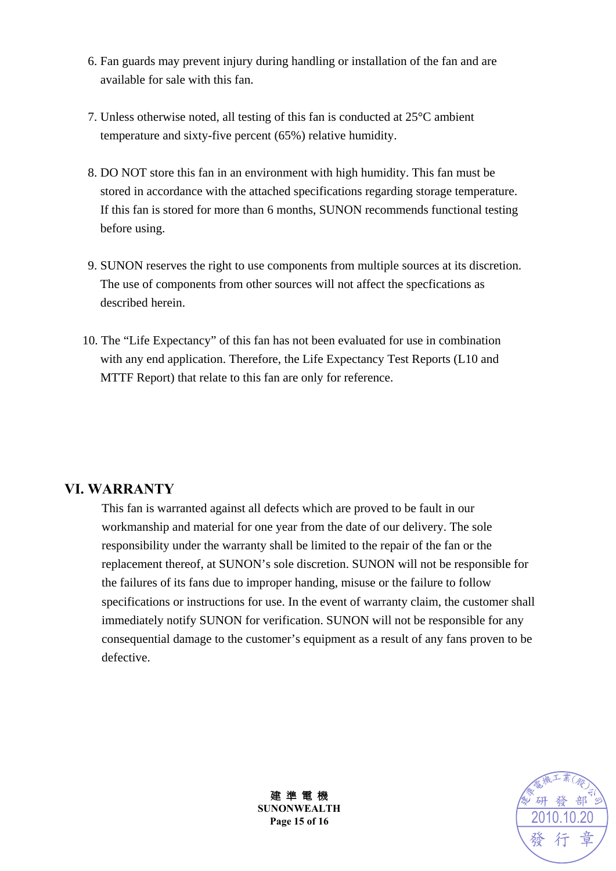- 6. Fan guards may prevent injury during handling or installation of the fan and are available for sale with this fan.
- 7. Unless otherwise noted, all testing of this fan is conducted at 25°C ambient temperature and sixty-five percent (65%) relative humidity.
- 8. DO NOT store this fan in an environment with high humidity. This fan must be stored in accordance with the attached specifications regarding storage temperature. If this fan is stored for more than 6 months, SUNON recommends functional testing before using.
- 9. SUNON reserves the right to use components from multiple sources at its discretion. The use of components from other sources will not affect the specfications as described herein.
- 10. The "Life Expectancy" of this fan has not been evaluated for use in combination with any end application. Therefore, the Life Expectancy Test Reports (L10 and MTTF Report) that relate to this fan are only for reference.

#### **VI. WARRANTY**

This fan is warranted against all defects which are proved to be fault in our workmanship and material for one year from the date of our delivery. The sole responsibility under the warranty shall be limited to the repair of the fan or the replacement thereof, at SUNON's sole discretion. SUNON will not be responsible for the failures of its fans due to improper handing, misuse or the failure to follow specifications or instructions for use. In the event of warranty claim, the customer shall immediately notify SUNON for verification. SUNON will not be responsible for any consequential damage to the customer's equipment as a result of any fans proven to be defective.



建 準 電 機 **SUNONWEALTH Page 15 of 16**